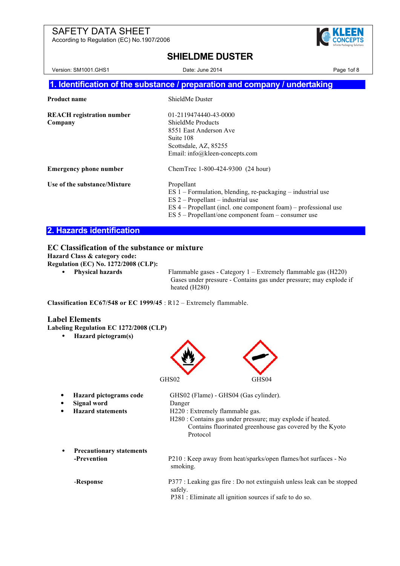According to Regulation (EC) No.1907/2006



## **SHIELDME DUSTER**

Version: SM1001.GHS1 Date: June 2014 Date: June 2014 **1. Identification of the substance / preparation and company / undertaking Product name** ShieldMe Duster **REACH registration number** 01-2119474440-43-0000 **Company** ShieldMe Products 8551 East Anderson Ave Suite 108 Scottsdale, AZ, 85255 Email: info@kleen-concepts.com **Emergency phone number** ChemTrec 1-800-424-9300 (24 hour) Use of the substance/Mixture Propellant ES 1 – Formulation, blending, re-packaging – industrial use ES 2 – Propellant – industrial use ES 4 – Propellant (incl. one component foam) – professional use

ES 5 – Propellant/one component foam – consumer use

#### **2. Hazards identification**

#### **EC Classification of the substance or mixture**

**Hazard Class & category code:**

**Regulation (EC) No. 1272/2008 (CLP):**

• **Physical hazards** Flammable gases - Category 1 – Extremely flammable gas (H220) Gases under pressure - Contains gas under pressure; may explode if heated (H280)

**Classification EC67/548 or EC 1999/45** : R12 – Extremely flammable.

#### **Label Elements**

**Labeling Regulation EC 1272/2008 (CLP)**

• **Hazard pictogram(s)**



| Hazard pictograms code                         | GHS02 (Flame) - GHS04 (Gas cylinder).                                                                                                                                 |
|------------------------------------------------|-----------------------------------------------------------------------------------------------------------------------------------------------------------------------|
| Signal word                                    | Danger                                                                                                                                                                |
| <b>Hazard statements</b>                       | H220 : Extremely flammable gas.<br>H280 : Contains gas under pressure; may explode if heated.<br>Contains fluorinated greenhouse gas covered by the Kyoto<br>Protocol |
| <b>Precautionary statements</b><br>-Prevention | P210 : Keep away from heat/sparks/open flames/hot surfaces - No<br>smoking.                                                                                           |
| -Response                                      | P377 : Leaking gas fire : Do not extinguish unless leak can be stopped<br>safely.<br>P381 : Eliminate all ignition sources if safe to do so.                          |
|                                                |                                                                                                                                                                       |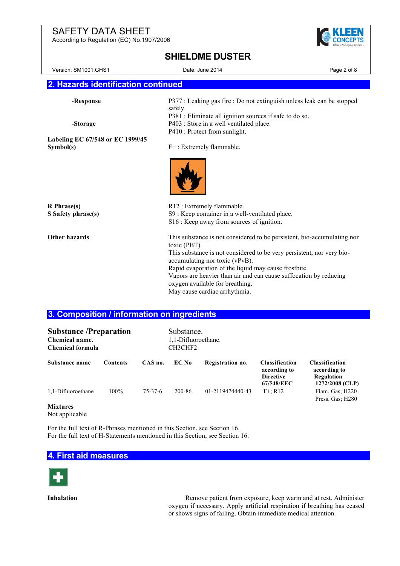According to Regulation (EC) No.1907/2006



#### **SHIELDME DUSTER**

Version: SM1001.GHS1 Date: June 2014 Date: June 2014 **2. Hazards identification continued** -**Response** P377 : Leaking gas fire : Do not extinguish unless leak can be stopped safely. P381 : Eliminate all ignition sources if safe to do so. **-Storage** P403 : Store in a well ventilated place. P410 : Protect from sunlight. **Labeling EC 67/548 or EC 1999/45 Symbol(s)** F+: Extremely flammable. **R Phrase(s)** R12 : Extremely flammable. **S Safety phrase(s)** S9 : Keep container in a well-ventilated place. S16 : Keep away from sources of ignition. **Other hazards** This substance is not considered to be persistent, bio-accumulating nor toxic (PBT). This substance is not considered to be very persistent, nor very bioaccumulating nor toxic (vPvB). Rapid evaporation of the liquid may cause frostbite. Vapors are heavier than air and can cause suffocation by reducing

oxygen available for breathing.

May cause cardiac arrhythmia.

#### **3. Composition / information on ingredients**

| <b>Substance /Preparation</b><br>Chemical name.<br><b>Chemical formula</b> |                 |               | Substance.<br>1,1-Difluoroethane.<br>CH3CHF2 |                  |                                                                         |                                                                        |
|----------------------------------------------------------------------------|-----------------|---------------|----------------------------------------------|------------------|-------------------------------------------------------------------------|------------------------------------------------------------------------|
| Substance name                                                             | <b>Contents</b> | CAS no.       | EC No                                        | Registration no. | <b>Classification</b><br>according to<br><b>Directive</b><br>67/548/EEC | <b>Classification</b><br>according to<br>Regulation<br>1272/2008 (CLP) |
| 1,1-Difluoroethane                                                         | 100%            | $75 - 37 - 6$ | 200-86                                       | 01-2119474440-43 | $F^+$ : R12                                                             | Flam. Gas; H220<br>Press. Gas: H280                                    |

#### **Mixtures**

Not applicable

For the full text of R-Phrases mentioned in this Section, see Section 16. For the full text of H-Statements mentioned in this Section, see Section 16.

#### **4. First aid measures**



**Inhalation** Remove patient from exposure, keep warm and at rest. Administer oxygen if necessary. Apply artificial respiration if breathing has ceased or shows signs of failing. Obtain immediate medical attention.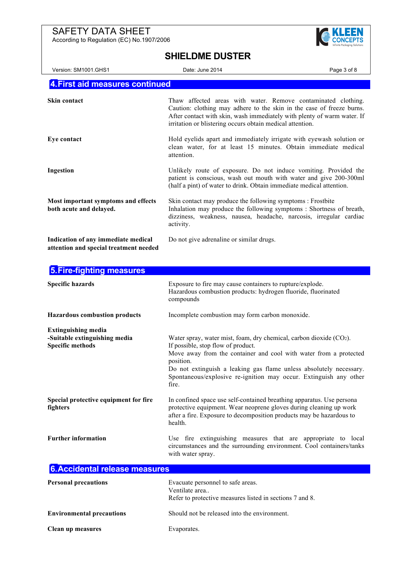According to Regulation (EC) No.1907/2006



#### **SHIELDME DUSTER**

| Version: SM1001.GHS1                                                          | Date: June 2014                                                                                                                                                                                                                                                                | Page 3 of 8 |
|-------------------------------------------------------------------------------|--------------------------------------------------------------------------------------------------------------------------------------------------------------------------------------------------------------------------------------------------------------------------------|-------------|
| 4. First aid measures continued                                               |                                                                                                                                                                                                                                                                                |             |
|                                                                               |                                                                                                                                                                                                                                                                                |             |
| <b>Skin contact</b>                                                           | Thaw affected areas with water. Remove contaminated clothing.<br>Caution: clothing may adhere to the skin in the case of freeze burns.<br>After contact with skin, wash immediately with plenty of warm water. If<br>irritation or blistering occurs obtain medical attention. |             |
| Eye contact                                                                   | Hold eyelids apart and immediately irrigate with eyewash solution or<br>clean water, for at least 15 minutes. Obtain immediate medical<br>attention.                                                                                                                           |             |
| Ingestion                                                                     | Unlikely route of exposure. Do not induce vomiting. Provided the<br>patient is conscious, wash out mouth with water and give 200-300ml<br>(half a pint) of water to drink. Obtain immediate medical attention.                                                                 |             |
| Most important symptoms and effects<br>both acute and delayed.                | Skin contact may produce the following symptoms : Frostbite<br>Inhalation may produce the following symptoms: Shortness of breath,<br>dizziness, weakness, nausea, headache, narcosis, irregular cardiac<br>activity.                                                          |             |
| Indication of any immediate medical<br>attention and special treatment needed | Do not give adrenaline or similar drugs.                                                                                                                                                                                                                                       |             |

**5.Fire-fighting measures Specific hazards** Exposure to fire may cause containers to rupture/explode. Hazardous combustion products: hydrogen fluoride, fluorinated compounds **Hazardous combustion products** Incomplete combustion may form carbon monoxide. **Extinguishing media -Suitable extinguishing media** Water spray, water mist, foam, dry chemical, carbon dioxide (CO2). **Specific methods** If possible, stop flow of product. Move away from the container and cool with water from a protected position. Do not extinguish a leaking gas flame unless absolutely necessary. Spontaneous/explosive re-ignition may occur. Extinguish any other fire. **Special protective equipment for fire** In confined space use self-contained breathing apparatus. Use persona **fighters protective equipment.** Wear neoprene gloves during cleaning up work after a fire. Exposure to decomposition products may be hazardous to health. **Further information** Use fire extinguishing measures that are appropriate to local circumstances and the surrounding environment. Cool containers/tanks with water spray. **6.Accidental release measures**

| <b>Personal precautions</b>      | Evacuate personnel to safe areas.<br>Ventilate area<br>Refer to protective measures listed in sections 7 and 8. |
|----------------------------------|-----------------------------------------------------------------------------------------------------------------|
| <b>Environmental precautions</b> | Should not be released into the environment.                                                                    |
| Clean up measures                | Evaporates.                                                                                                     |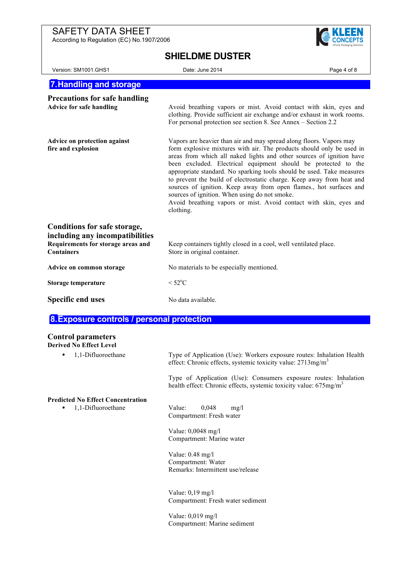According to Regulation (EC) No.1907/2006



## **SHIELDME DUSTER**

| Version: SM1001.GHS1                                                                                                       | Date: June 2014                                                                                                                                                                                                                                                                                                                                                                                                                                                                                                                                                                                                                                   | Page 4 of 8 |
|----------------------------------------------------------------------------------------------------------------------------|---------------------------------------------------------------------------------------------------------------------------------------------------------------------------------------------------------------------------------------------------------------------------------------------------------------------------------------------------------------------------------------------------------------------------------------------------------------------------------------------------------------------------------------------------------------------------------------------------------------------------------------------------|-------------|
| <b>7. Handling and storage</b>                                                                                             |                                                                                                                                                                                                                                                                                                                                                                                                                                                                                                                                                                                                                                                   |             |
| <b>Precautions for safe handling</b><br><b>Advice for safe handling</b>                                                    | Avoid breathing vapors or mist. Avoid contact with skin, eyes and<br>clothing. Provide sufficient air exchange and/or exhaust in work rooms.<br>For personal protection see section 8. See Annex – Section 2.2                                                                                                                                                                                                                                                                                                                                                                                                                                    |             |
| Advice on protection against<br>fire and explosion                                                                         | Vapors are heavier than air and may spread along floors. Vapors may<br>form explosive mixtures with air. The products should only be used in<br>areas from which all naked lights and other sources of ignition have<br>been excluded. Electrical equipment should be protected to the<br>appropriate standard. No sparking tools should be used. Take measures<br>to prevent the build of electrostatic charge. Keep away from heat and<br>sources of ignition. Keep away from open flames., hot surfaces and<br>sources of ignition. When using do not smoke.<br>Avoid breathing vapors or mist. Avoid contact with skin, eyes and<br>clothing. |             |
| Conditions for safe storage,<br>including any incompatibilities<br>Requirements for storage areas and<br><b>Containers</b> | Keep containers tightly closed in a cool, well ventilated place.<br>Store in original container.                                                                                                                                                                                                                                                                                                                                                                                                                                                                                                                                                  |             |
| Advice on common storage                                                                                                   | No materials to be especially mentioned.                                                                                                                                                                                                                                                                                                                                                                                                                                                                                                                                                                                                          |             |
| Storage temperature                                                                                                        | $<$ 52 $^{\circ}$ C                                                                                                                                                                                                                                                                                                                                                                                                                                                                                                                                                                                                                               |             |
| <b>Specific end uses</b>                                                                                                   | No data available.                                                                                                                                                                                                                                                                                                                                                                                                                                                                                                                                                                                                                                |             |
| 8. Exposure controls / personal protection                                                                                 |                                                                                                                                                                                                                                                                                                                                                                                                                                                                                                                                                                                                                                                   |             |

#### **Control parameters**

**Derived No Effect Level**

| 1,1-Difluoroethane<br>٠                  | Type of Application (Use): Workers exposure routes: Inhalation Health<br>effect: Chronic effects, systemic toxicity value: 2713mg/m <sup>3</sup>  |
|------------------------------------------|---------------------------------------------------------------------------------------------------------------------------------------------------|
|                                          | Type of Application (Use): Consumers exposure routes: Inhalation<br>health effect: Chronic effects, systemic toxicity value: 675mg/m <sup>3</sup> |
| <b>Predicted No Effect Concentration</b> |                                                                                                                                                   |
| 1,1-Difluoroethane<br>٠                  | 0,048<br>Value:<br>mg/l<br>Compartment: Fresh water                                                                                               |
|                                          | Value: $0,0048 \text{ mg/l}$<br>Compartment: Marine water                                                                                         |
|                                          | Value: $0.48 \text{ mg/l}$<br>Compartment: Water<br>Remarks: Intermittent use/release                                                             |
|                                          | Value: $0,19 \text{ mg/l}$<br>Compartment: Fresh water sediment                                                                                   |
|                                          | Value: $0,019 \text{ mg/l}$<br>Compartment: Marine sediment                                                                                       |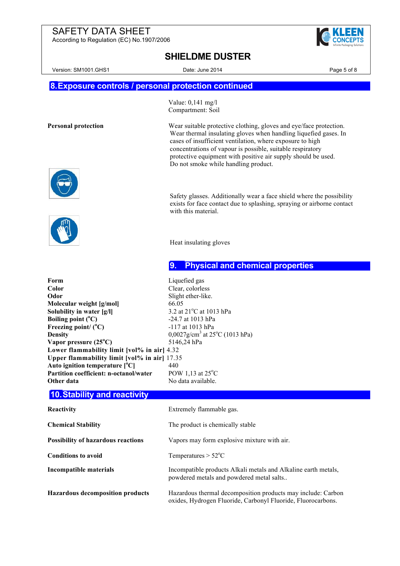According to Regulation (EC) No.1907/2006



|  |  | <b>SHIELDME DUSTER</b> |
|--|--|------------------------|
|--|--|------------------------|

Version: SM1001.GHS1 Date: June 2014 Date: June 2014 Page 5 of 8

Value: 0,141 mg/l Compartment: Soil

## **8.Exposure controls / personal protection continued**

**Personal protection** Wear suitable protective clothing, gloves and eye/face protection.





Safety glasses. Additionally wear a face shield where the possibility exists for face contact due to splashing, spraying or airborne contact with this material.

Wear thermal insulating gloves when handling liquefied gases. In

cases of insufficient ventilation, where exposure to high concentrations of vapour is possible, suitable respiratory protective equipment with positive air supply should be used.

Do not smoke while handling product.

Heat insulating gloves

#### **9. Physical and chemical properties**

**Form** Liquefied gas Color Clear, colorless **Odor** Slight ether-like. **Molecular weight [g/mol]** 66.05 **Solubility in water [g/l]** 3.2 at 21<sup>o</sup>C at 1013 hPa **Boiling point (<sup>o</sup> C)** -24.7 at 1013 hPa Freezing point/ (<sup>°</sup>C) **C)** -117 at 1013 hPa **Density** 0,0027g/cm<sup>3</sup> at 25<sup>o</sup>C (1013 hPa) **Vapor pressure (25<sup>o</sup> C)** 5146,24 hPa **Lower flammability limit [vol% in air]** 4.32 **Upper flammability limit [vol% in air]** 17.35 **Auto ignition temperature [<sup>o</sup> C]** 440 **Partition coefficient: n-octanol/water** POW 1.13 at 25°C **Other data** No data available.

#### **10.Stability and reactivity**

| <b>Reactivity</b>                         | Extremely flammable gas.                                                                                                     |
|-------------------------------------------|------------------------------------------------------------------------------------------------------------------------------|
| <b>Chemical Stability</b>                 | The product is chemically stable                                                                                             |
| <b>Possibility of hazardous reactions</b> | Vapors may form explosive mixture with air.                                                                                  |
| <b>Conditions to avoid</b>                | Temperatures $> 52^{\circ}$ C                                                                                                |
| Incompatible materials                    | Incompatible products Alkali metals and Alkaline earth metals,<br>powdered metals and powdered metal salts                   |
| <b>Hazardous decomposition products</b>   | Hazardous thermal decomposition products may include: Carbon<br>oxides, Hydrogen Fluoride, Carbonyl Fluoride, Fluorocarbons. |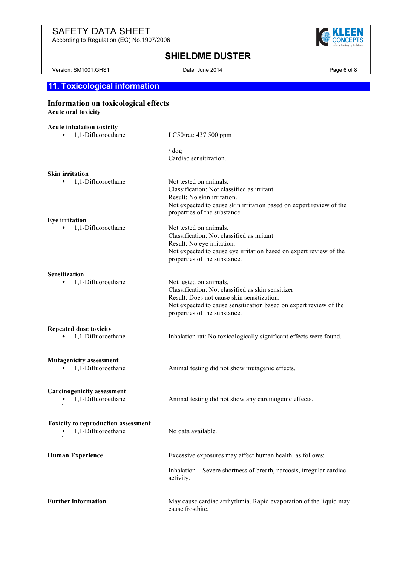According to Regulation (EC) No.1907/2006



## **SHIELDME DUSTER**

Version: SM1001.GHS1 Date: June 2014 Date: June 2014

## **11. Toxicological information**

## **Information on toxicological effects**

**Acute oral toxicity**

# **Acute inhalation toxicity**<br>**•** 1,1-Difluoroethane

LC50/rat: 437 500 ppm

/ dog Cardiac sensitization.

| <b>Skin irritation</b>                                  |                                                                                                                                                                                                                                 |
|---------------------------------------------------------|---------------------------------------------------------------------------------------------------------------------------------------------------------------------------------------------------------------------------------|
| 1,1-Difluoroethane                                      | Not tested on animals.<br>Classification: Not classified as irritant.<br>Result: No skin irritation.<br>Not expected to cause skin irritation based on expert review of the<br>properties of the substance.                     |
| <b>Eye</b> irritation                                   |                                                                                                                                                                                                                                 |
| 1,1-Difluoroethane                                      | Not tested on animals.<br>Classification: Not classified as irritant.<br>Result: No eye irritation.<br>Not expected to cause eye irritation based on expert review of the<br>properties of the substance.                       |
| <b>Sensitization</b>                                    |                                                                                                                                                                                                                                 |
| 1,1-Difluoroethane                                      | Not tested on animals.<br>Classification: Not classified as skin sensitizer.<br>Result: Does not cause skin sensitization.<br>Not expected to cause sensitization based on expert review of the<br>properties of the substance. |
| <b>Repeated dose toxicity</b>                           |                                                                                                                                                                                                                                 |
| 1,1-Difluoroethane                                      | Inhalation rat: No toxicologically significant effects were found.                                                                                                                                                              |
| <b>Mutagenicity assessment</b>                          |                                                                                                                                                                                                                                 |
| 1,1-Difluoroethane                                      | Animal testing did not show mutagenic effects.                                                                                                                                                                                  |
| <b>Carcinogenicity assessment</b><br>1,1-Difluoroethane | Animal testing did not show any carcinogenic effects.                                                                                                                                                                           |
| <b>Toxicity to reproduction assessment</b>              |                                                                                                                                                                                                                                 |
| 1,1-Difluoroethane                                      | No data available.                                                                                                                                                                                                              |
| <b>Human Experience</b>                                 | Excessive exposures may affect human health, as follows:                                                                                                                                                                        |
|                                                         | Inhalation - Severe shortness of breath, narcosis, irregular cardiac<br>activity.                                                                                                                                               |
| <b>Further information</b>                              | May cause cardiac arrhythmia. Rapid evaporation of the liquid may<br>cause frostbite.                                                                                                                                           |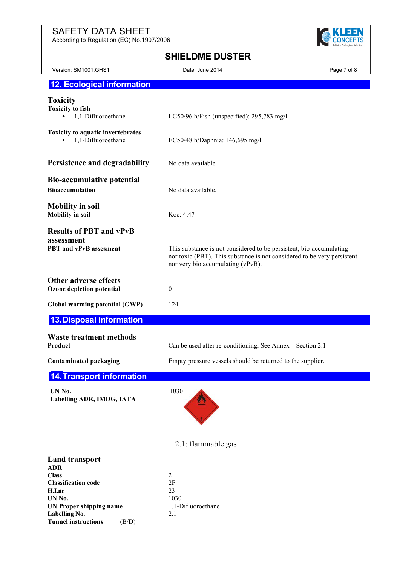According to Regulation (EC) No.1907/2006

**UN Proper shipping name** 1,1-Difluoroethane

Labelling No. 2.1

**Tunnel instructions (**B/D)



## **SHIELDME DUSTER**

| ILLUINL DUU I LIV                                                                                     |                                                                                                                                                                                     |             |
|-------------------------------------------------------------------------------------------------------|-------------------------------------------------------------------------------------------------------------------------------------------------------------------------------------|-------------|
| Version: SM1001.GHS1                                                                                  | Date: June 2014                                                                                                                                                                     | Page 7 of 8 |
| <b>12. Ecological information</b>                                                                     |                                                                                                                                                                                     |             |
| <b>Toxicity</b><br><b>Toxicity to fish</b><br>1,1-Difluoroethane<br>$\bullet$                         | LC50/96 h/Fish (unspecified): 295,783 mg/l                                                                                                                                          |             |
| Toxicity to aquatic invertebrates<br>1,1-Difluoroethane<br>٠                                          | EC50/48 h/Daphnia: 146,695 mg/l                                                                                                                                                     |             |
| Persistence and degradability                                                                         | No data available.                                                                                                                                                                  |             |
| <b>Bio-accumulative potential</b><br><b>Bioaccumulation</b>                                           | No data available.                                                                                                                                                                  |             |
| <b>Mobility in soil</b><br><b>Mobility</b> in soil                                                    | Koc: 4,47                                                                                                                                                                           |             |
| <b>Results of PBT and vPvB</b><br>assessment<br>PBT and vPvB assesment                                | This substance is not considered to be persistent, bio-accumulating<br>nor toxic (PBT). This substance is not considered to be very persistent<br>nor very bio accumulating (vPvB). |             |
| <b>Other adverse effects</b><br>Ozone depletion potential                                             | $\boldsymbol{0}$                                                                                                                                                                    |             |
| Global warming potential (GWP)                                                                        | 124                                                                                                                                                                                 |             |
| <b>13. Disposal information</b>                                                                       |                                                                                                                                                                                     |             |
| <b>Waste treatment methods</b><br>Product                                                             | Can be used after re-conditioning. See Annex - Section 2.1                                                                                                                          |             |
| <b>Contaminated packaging</b>                                                                         | Empty pressure vessels should be returned to the supplier.                                                                                                                          |             |
| 14. Transport information                                                                             |                                                                                                                                                                                     |             |
| UN No.<br>Labelling ADR, IMDG, IATA                                                                   | 1030                                                                                                                                                                                |             |
|                                                                                                       | 2.1: flammable gas                                                                                                                                                                  |             |
| <b>Land transport</b><br><b>ADR</b><br><b>Class</b><br><b>Classification code</b><br>H.I.nr<br>UN No. | 2<br>2F<br>23<br>1030                                                                                                                                                               |             |